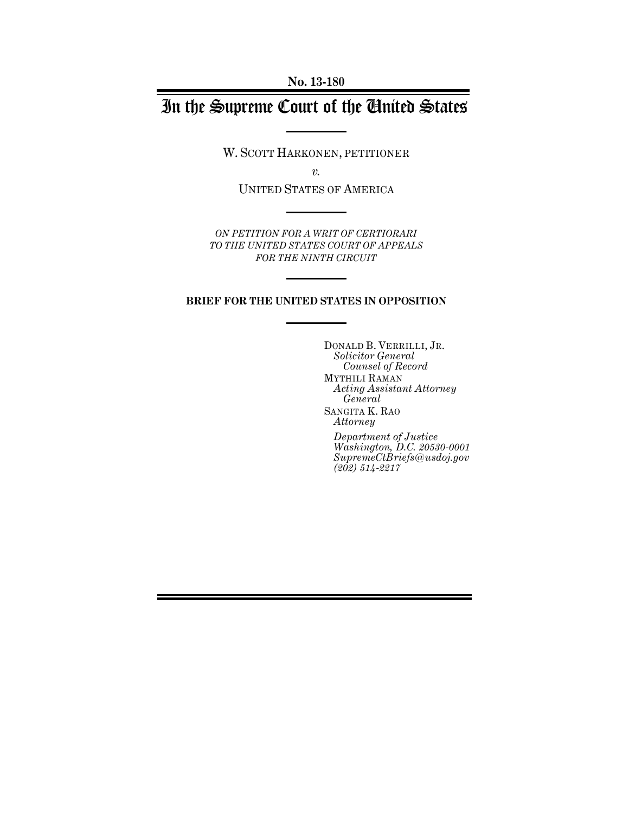# In the Supreme Court of the United States

W. SCOTT HARKONEN, PETITIONER

*v.* 

UNITED STATES OF AMERICA

*ON PETITION FOR A WRIT OF CERTIORARI TO THE UNITED STATES COURT OF APPEALS FOR THE NINTH CIRCUIT* 

### **BRIEF FOR THE UNITED STATES IN OPPOSITION**

DONALD B. VERRILLI, JR. *Solicitor General Counsel of Record*  MYTHILI RAMAN *Acting Assistant Attorney General*  SANGITA K. RAO *Attorney* 

*Department of Justice Washington, D.C. 20530-0001 SupremeCtBriefs@usdoj.gov (202) 514-2217*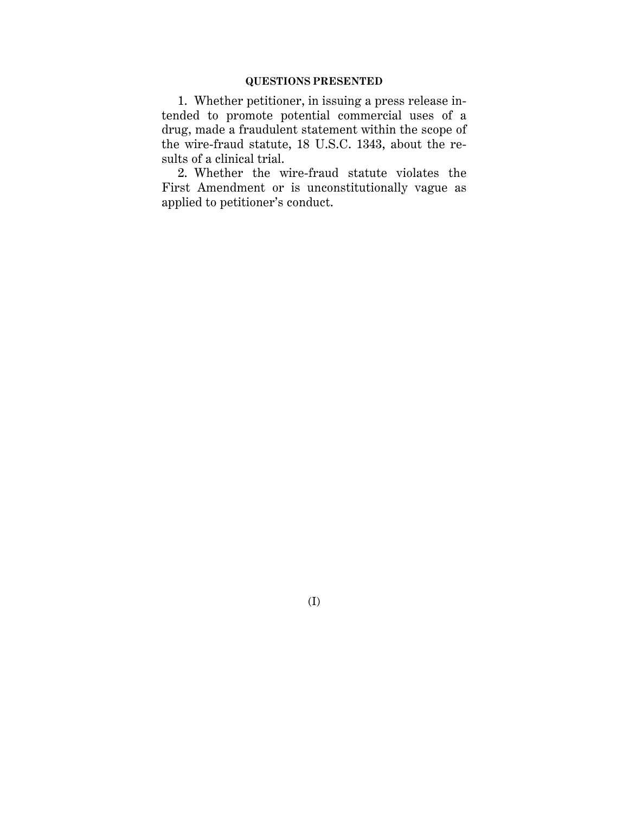1. Whether petitioner, in issuing a press release intended to promote potential commercial uses of a drug, made a fraudulent statement within the scope of the wire-fraud statute, 18 U.S.C. 1343, about the results of a clinical trial.

2. Whether the wire-fraud statute violates the First Amendment or is unconstitutionally vague as applied to petitioner's conduct.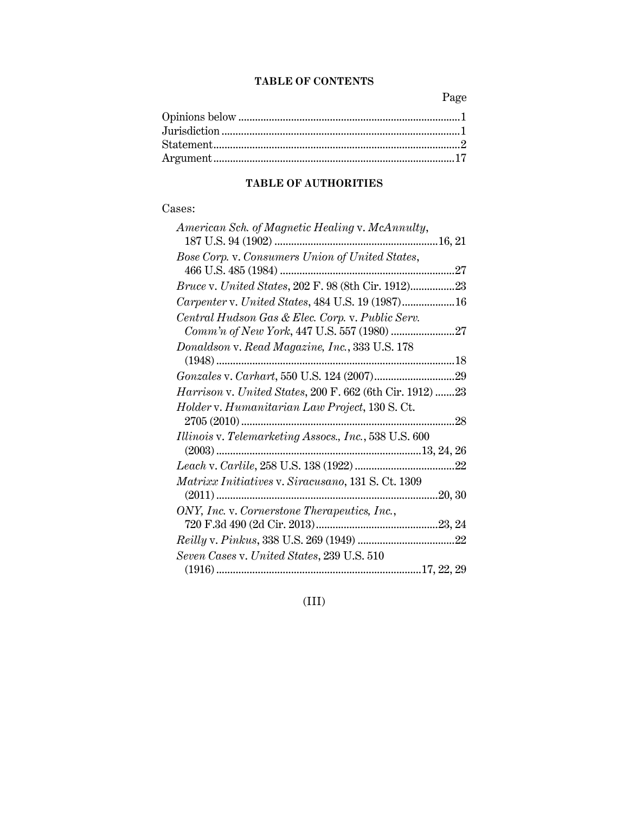### **TABLE OF CONTENTS**

Page

### **TABLE OF AUTHORITIES**

### Cases:

| American Sch. of Magnetic Healing v. McAnnulty,                 |
|-----------------------------------------------------------------|
|                                                                 |
| Bose Corp. v. Consumers Union of United States,                 |
|                                                                 |
| <i>Bruce v. United States, 202 F. 98 (8th Cir. 1912)23</i>      |
| Carpenter v. United States, 484 U.S. 19 (1987)16                |
| Central Hudson Gas & Elec. Corp. v. Public Serv.                |
|                                                                 |
| Donaldson v. Read Magazine, Inc., 333 U.S. 178                  |
|                                                                 |
|                                                                 |
| <i>Harrison v. United States, 200 F. 662 (6th Cir. 1912) 23</i> |
| Holder v. Humanitarian Law Project, 130 S. Ct.                  |
|                                                                 |
| Illinois v. Telemarketing Assocs., Inc., 538 U.S. 600           |
|                                                                 |
|                                                                 |
| Matrixx Initiatives v. Siracusano, 131 S. Ct. 1309              |
|                                                                 |
| ONY, Inc. v. Cornerstone Therapeutics, Inc.,                    |
|                                                                 |
|                                                                 |
| Seven Cases v. United States, 239 U.S. 510                      |
|                                                                 |

## (III)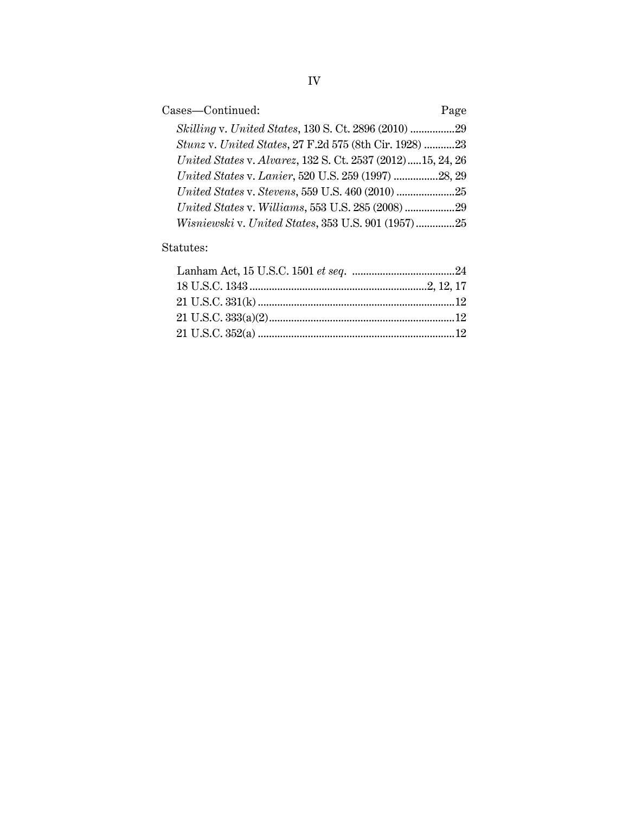| Cases-Continued:                                           | Page |
|------------------------------------------------------------|------|
| Skilling v. United States, 130 S. Ct. 2896 (2010) 29       |      |
| Stunz v. United States, 27 F.2d 575 (8th Cir. 1928) 23     |      |
| United States v. Alvarez, 132 S. Ct. 2537 (2012)15, 24, 26 |      |
| United States v. Lanier, 520 U.S. 259 (1997) 28, 29        |      |
|                                                            |      |
|                                                            |      |
| Wisniewski v. United States, 353 U.S. 901 (1957)25         |      |

### Statutes: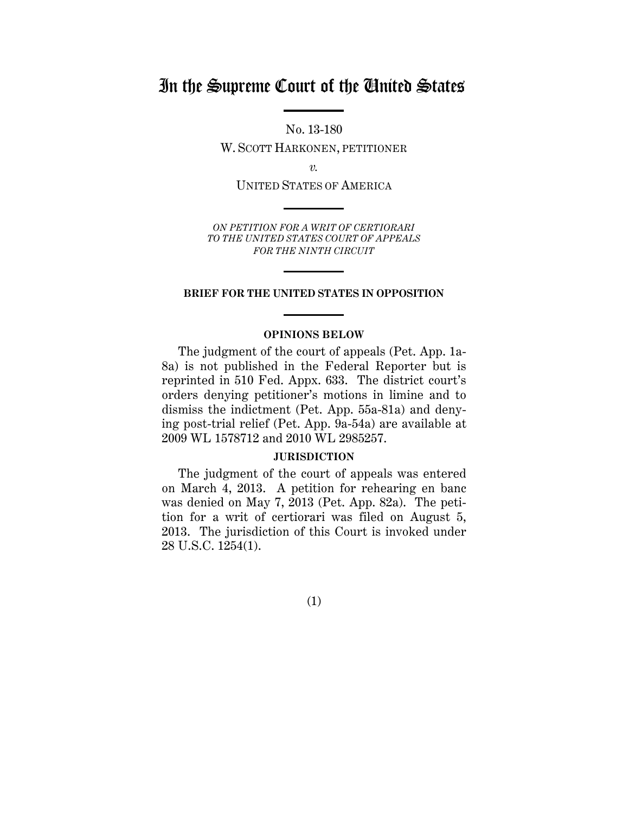## In the Supreme Court of the United States

No. 13-180

W. SCOTT HARKONEN, PETITIONER

*v.* 

UNITED STATES OF AMERICA

*ON PETITION FOR A WRIT OF CERTIORARI TO THE UNITED STATES COURT OF APPEALS FOR THE NINTH CIRCUIT* 

### **BRIEF FOR THE UNITED STATES IN OPPOSITION**

### **OPINIONS BELOW**

The judgment of the court of appeals (Pet. App. 1a-8a) is not published in the Federal Reporter but is reprinted in 510 Fed. Appx. 633. The district court's orders denying petitioner's motions in limine and to dismiss the indictment (Pet. App. 55a-81a) and denying post-trial relief (Pet. App. 9a-54a) are available at 2009 WL 1578712 and 2010 WL 2985257.

### **JURISDICTION**

The judgment of the court of appeals was entered on March 4, 2013. A petition for rehearing en banc was denied on May 7, 2013 (Pet. App. 82a). The petition for a writ of certiorari was filed on August 5, 2013. The jurisdiction of this Court is invoked under 28 U.S.C. 1254(1).

(1)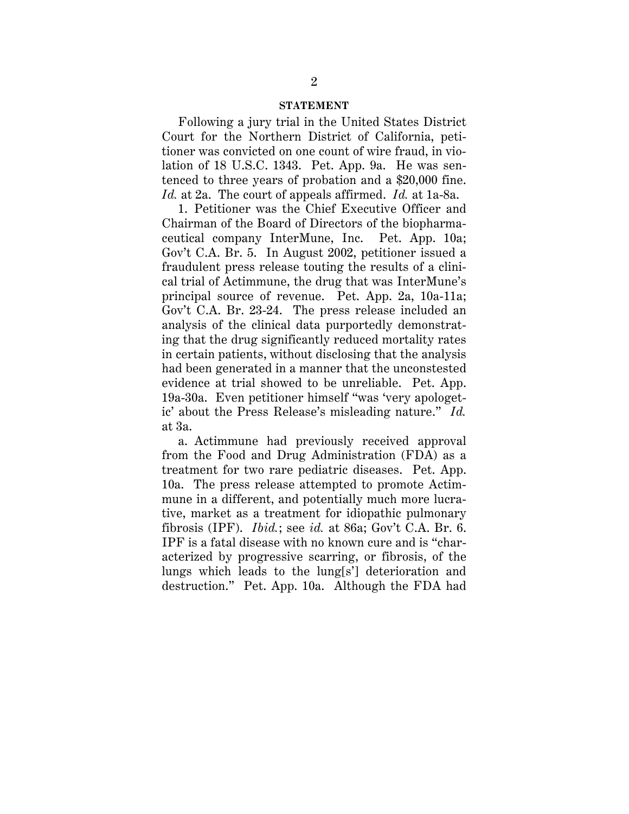### **STATEMENT**

<span id="page-5-0"></span> *Id.* at 2a. The court of appeals affirmed. *Id.* at 1a-8a. Following a jury trial in the United States District Court for the Northern District of California, petitioner was convicted on one count of wire fraud, in violation of 18 U.S.C. 1343. Pet. App. 9a. He was sentenced to three years of probation and a \$20,000 fine.

1. Petitioner was the Chief Executive Officer and Chairman of the Board of Directors of the biopharmaceutical company InterMune, Inc. Pet. App. 10a; Gov't C.A. Br. 5. In August 2002, petitioner issued a fraudulent press release touting the results of a clinical trial of Actimmune, the drug that was InterMune's principal source of revenue. Pet. App. 2a, 10a-11a; Gov't C.A. Br. 23-24. The press release included an analysis of the clinical data purportedly demonstrating that the drug significantly reduced mortality rates in certain patients, without disclosing that the analysis had been generated in a manner that the unconstested evidence at trial showed to be unreliable. Pet. App. 19a-30a. Even petitioner himself "was 'very apologetic' about the Press Release's misleading nature." *Id.*  at 3a.

a. Actimmune had previously received approval from the Food and Drug Administration (FDA) as a treatment for two rare pediatric diseases. Pet. App. 10a. The press release attempted to promote Actimmune in a different, and potentially much more lucrative, market as a treatment for idiopathic pulmonary fibrosis (IPF). *Ibid.*; see *id.* at 86a; Gov't C.A. Br. 6. IPF is a fatal disease with no known cure and is "characterized by progressive scarring, or fibrosis, of the lungs which leads to the lung[s'] deterioration and destruction." Pet. App. 10a. Although the FDA had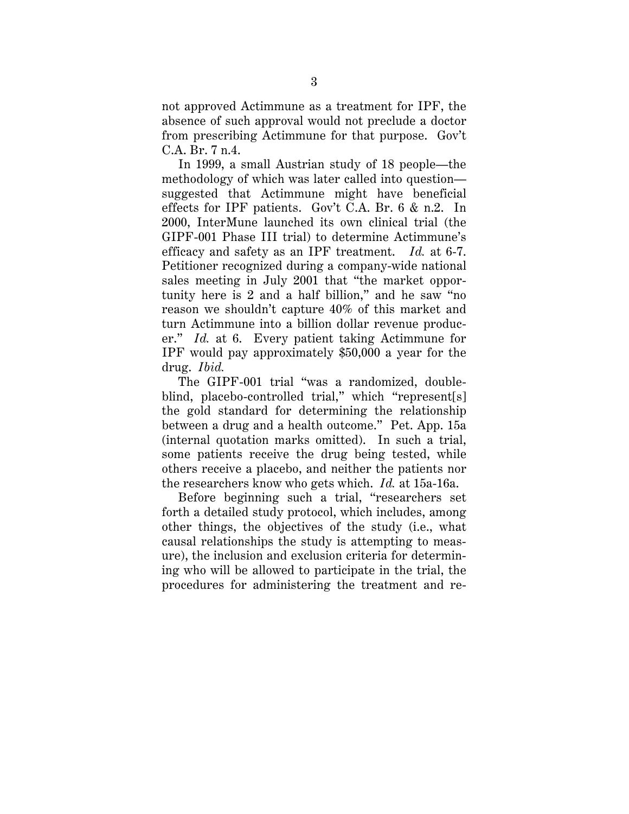not approved Actimmune as a treatment for IPF, the absence of such approval would not preclude a doctor from prescribing Actimmune for that purpose. Gov't C.A. Br. 7 n.4.

efficacy and safety as an IPF treatment. Id. at 6-7. In 1999, a small Austrian study of 18 people—the methodology of which was later called into question suggested that Actimmune might have beneficial effects for IPF patients. Gov't C.A. Br. 6 & n.2. In 2000, InterMune launched its own clinical trial (the GIPF-001 Phase III trial) to determine Actimmune's Petitioner recognized during a company-wide national sales meeting in July 2001 that "the market opportunity here is 2 and a half billion," and he saw "no reason we shouldn't capture 40% of this market and turn Actimmune into a billion dollar revenue producer." *Id.* at 6. Every patient taking Actimmune for IPF would pay approximately \$50,000 a year for the drug. *Ibid.* 

The GIPF-001 trial "was a randomized, doubleblind, placebo-controlled trial," which "represent[s] the gold standard for determining the relationship between a drug and a health outcome." Pet. App. 15a (internal quotation marks omitted). In such a trial, some patients receive the drug being tested, while others receive a placebo, and neither the patients nor the researchers know who gets which. *Id.* at 15a-16a.

Before beginning such a trial, "researchers set forth a detailed study protocol, which includes, among other things, the objectives of the study (i.e., what causal relationships the study is attempting to measure), the inclusion and exclusion criteria for determining who will be allowed to participate in the trial, the procedures for administering the treatment and re-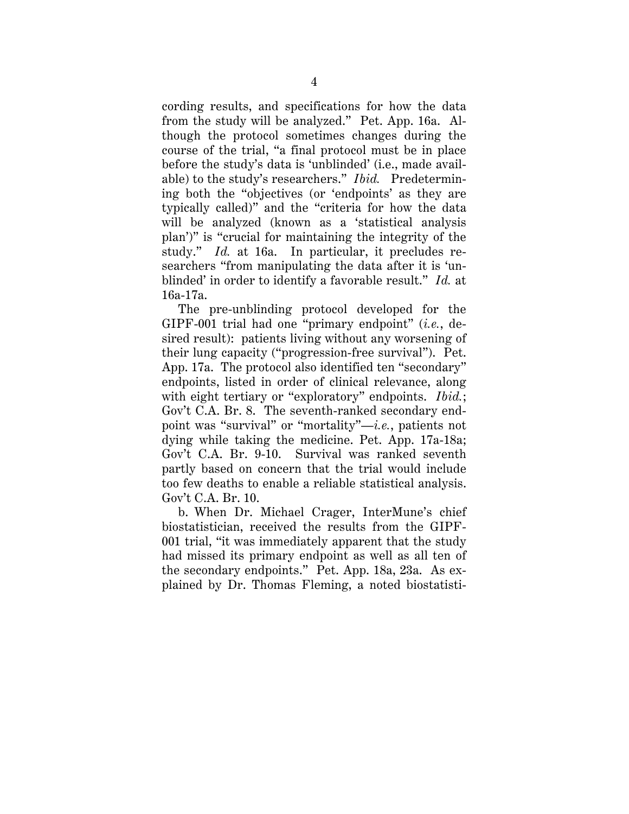study." *Id.* at 16a. In particular, it precludes re- blinded' in order to identify a favorable result." *Id.* at cording results, and specifications for how the data from the study will be analyzed." Pet. App. 16a. Although the protocol sometimes changes during the course of the trial, "a final protocol must be in place before the study's data is 'unblinded' (i.e., made available) to the study's researchers." *Ibid.* Predetermining both the "objectives (or 'endpoints' as they are typically called)" and the "criteria for how the data will be analyzed (known as a 'statistical analysis plan')" is "crucial for maintaining the integrity of the searchers "from manipulating the data after it is 'un-16a-17a.

The pre-unblinding protocol developed for the GIPF-001 trial had one "primary endpoint" (*i.e.*, desired result): patients living without any worsening of their lung capacity ("progression-free survival"). Pet. App. 17a. The protocol also identified ten "secondary" endpoints, listed in order of clinical relevance, along with eight tertiary or "exploratory" endpoints. *Ibid.*; Gov't C.A. Br. 8. The seventh-ranked secondary endpoint was "survival" or "mortality"—*i.e.*, patients not dying while taking the medicine. Pet. App. 17a-18a; Gov't C.A. Br. 9-10. Survival was ranked seventh partly based on concern that the trial would include too few deaths to enable a reliable statistical analysis. Gov't C.A. Br. 10.

b. When Dr. Michael Crager, InterMune's chief biostatistician, received the results from the GIPF-001 trial, "it was immediately apparent that the study had missed its primary endpoint as well as all ten of the secondary endpoints." Pet. App. 18a, 23a. As explained by Dr. Thomas Fleming, a noted biostatisti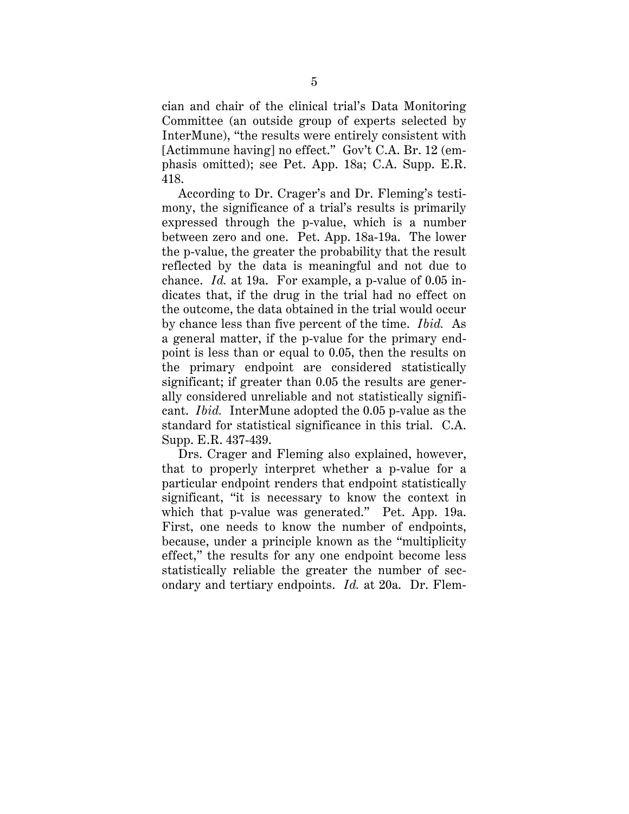cian and chair of the clinical trial's Data Monitoring Committee (an outside group of experts selected by InterMune), "the results were entirely consistent with [Actimmune having] no effect." Gov't C.A. Br. 12 (emphasis omitted); see Pet. App. 18a; C.A. Supp. E.R. 418.

According to Dr. Crager's and Dr. Fleming's testimony, the significance of a trial's results is primarily expressed through the p-value, which is a number between zero and one. Pet. App. 18a-19a. The lower the p-value, the greater the probability that the result reflected by the data is meaningful and not due to chance. *Id.* at 19a. For example, a p-value of 0.05 indicates that, if the drug in the trial had no effect on the outcome, the data obtained in the trial would occur by chance less than five percent of the time. *Ibid.* As a general matter, if the p-value for the primary endpoint is less than or equal to 0.05, then the results on the primary endpoint are considered statistically significant; if greater than 0.05 the results are generally considered unreliable and not statistically significant. *Ibid.* InterMune adopted the 0.05 p-value as the standard for statistical significance in this trial. C.A. Supp. E.R. 437-439.

 which that p-value was generated." Pet. App. 19a. Drs. Crager and Fleming also explained, however, that to properly interpret whether a p-value for a particular endpoint renders that endpoint statistically significant, "it is necessary to know the context in First, one needs to know the number of endpoints, because, under a principle known as the "multiplicity effect," the results for any one endpoint become less statistically reliable the greater the number of secondary and tertiary endpoints. *Id.* at 20a. Dr. Flem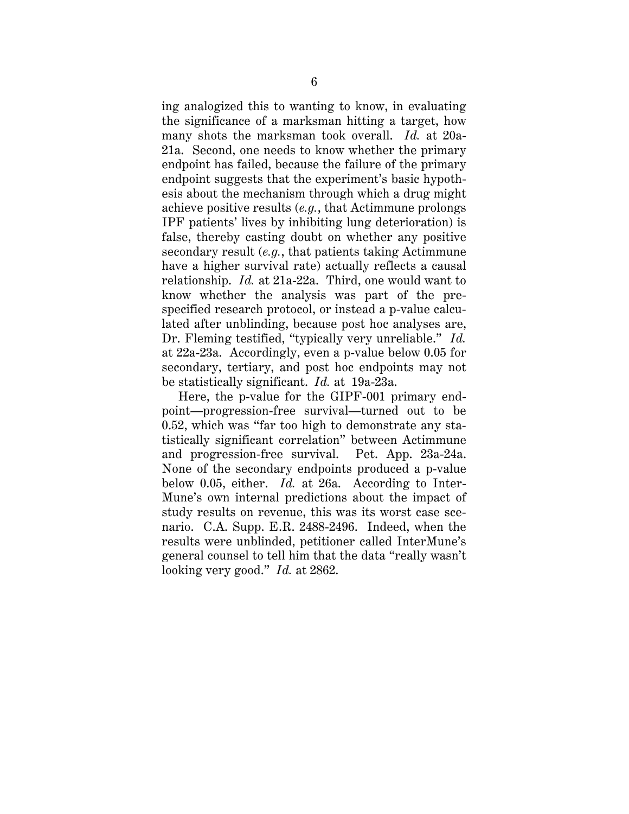ing analogized this to wanting to know, in evaluating the significance of a marksman hitting a target, how many shots the marksman took overall. *Id.* at 20a-21a. Second, one needs to know whether the primary endpoint has failed, because the failure of the primary endpoint suggests that the experiment's basic hypothesis about the mechanism through which a drug might achieve positive results (*e.g.*, that Actimmune prolongs IPF patients' lives by inhibiting lung deterioration) is false, thereby casting doubt on whether any positive secondary result (*e.g.*, that patients taking Actimmune have a higher survival rate) actually reflects a causal relationship. *Id.* at 21a-22a. Third, one would want to know whether the analysis was part of the prespecified research protocol, or instead a p-value calculated after unblinding, because post hoc analyses are, Dr. Fleming testified, "typically very unreliable." *Id.*  at 22a-23a. Accordingly, even a p-value below 0.05 for secondary, tertiary, and post hoc endpoints may not be statistically significant. *Id.* at 19a-23a.

 looking very good." *Id.* at 2862. Here, the p-value for the GIPF-001 primary endpoint—progression-free survival—turned out to be 0.52, which was "far too high to demonstrate any statistically significant correlation" between Actimmune and progression-free survival. Pet. App. 23a-24a. None of the secondary endpoints produced a p-value below 0.05, either. *Id.* at 26a. According to Inter-Mune's own internal predictions about the impact of study results on revenue, this was its worst case scenario. C.A. Supp. E.R. 2488-2496. Indeed, when the results were unblinded, petitioner called InterMune's general counsel to tell him that the data "really wasn't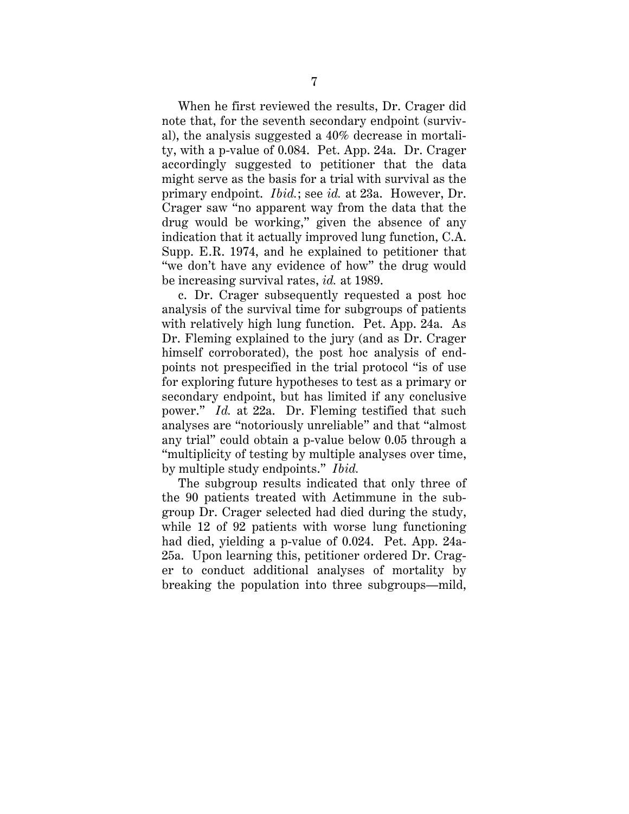When he first reviewed the results, Dr. Crager did note that, for the seventh secondary endpoint (survival), the analysis suggested a 40% decrease in mortality, with a p-value of 0.084. Pet. App. 24a. Dr. Crager accordingly suggested to petitioner that the data might serve as the basis for a trial with survival as the primary endpoint. *Ibid.*; see *id.* at 23a. However, Dr. Crager saw "no apparent way from the data that the drug would be working," given the absence of any indication that it actually improved lung function, C.A. Supp. E.R. 1974, and he explained to petitioner that "we don't have any evidence of how" the drug would be increasing survival rates, *id.* at 1989.

 power." *Id.* at 22a. Dr. Fleming testified that such c. Dr. Crager subsequently requested a post hoc analysis of the survival time for subgroups of patients with relatively high lung function. Pet. App. 24a. As Dr. Fleming explained to the jury (and as Dr. Crager himself corroborated), the post hoc analysis of endpoints not prespecified in the trial protocol "is of use for exploring future hypotheses to test as a primary or secondary endpoint, but has limited if any conclusive analyses are "notoriously unreliable" and that "almost any trial" could obtain a p-value below 0.05 through a "multiplicity of testing by multiple analyses over time, by multiple study endpoints." *Ibid.* 

The subgroup results indicated that only three of the 90 patients treated with Actimmune in the subgroup Dr. Crager selected had died during the study, while 12 of 92 patients with worse lung functioning had died, yielding a p-value of 0.024. Pet. App. 24a-25a. Upon learning this, petitioner ordered Dr. Crager to conduct additional analyses of mortality by breaking the population into three subgroups—mild,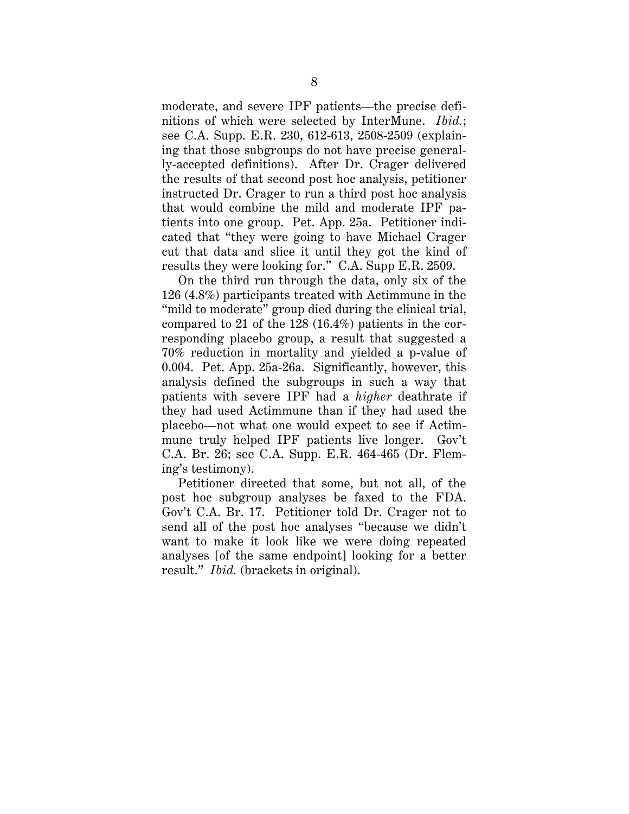ly-accepted definitions). After Dr. Crager delivered moderate, and severe IPF patients—the precise definitions of which were selected by InterMune. *Ibid.*; see C.A. Supp. E.R. 230, 612-613, 2508-2509 (explaining that those subgroups do not have precise generalthe results of that second post hoc analysis, petitioner instructed Dr. Crager to run a third post hoc analysis that would combine the mild and moderate IPF patients into one group. Pet. App. 25a. Petitioner indicated that "they were going to have Michael Crager cut that data and slice it until they got the kind of results they were looking for." C.A. Supp E.R. 2509.

On the third run through the data, only six of the 126 (4.8%) participants treated with Actimmune in the "mild to moderate" group died during the clinical trial, compared to 21 of the 128 (16.4%) patients in the corresponding placebo group, a result that suggested a 70% reduction in mortality and yielded a p-value of 0.004. Pet. App. 25a-26a. Significantly, however, this analysis defined the subgroups in such a way that patients with severe IPF had a *higher* deathrate if they had used Actimmune than if they had used the placebo—not what one would expect to see if Actimmune truly helped IPF patients live longer. Gov't C.A. Br. 26; see C.A. Supp. E.R. 464-465 (Dr. Fleming's testimony).

Petitioner directed that some, but not all, of the post hoc subgroup analyses be faxed to the FDA. Gov't C.A. Br. 17. Petitioner told Dr. Crager not to send all of the post hoc analyses "because we didn't want to make it look like we were doing repeated analyses [of the same endpoint] looking for a better result." *Ibid.* (brackets in original).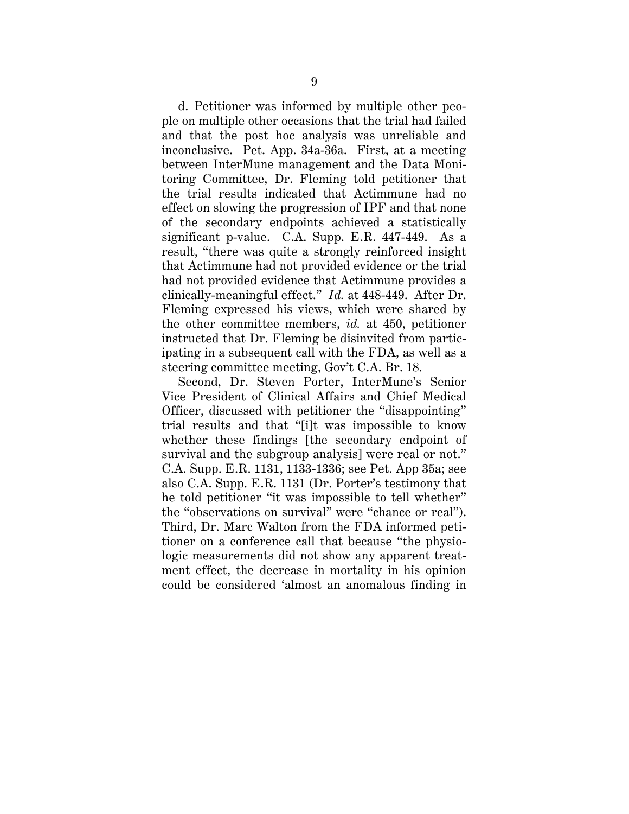clinically-meaningful effect." *Id.* at 448-449. After Dr. d. Petitioner was informed by multiple other people on multiple other occasions that the trial had failed and that the post hoc analysis was unreliable and inconclusive. Pet. App. 34a-36a. First, at a meeting between InterMune management and the Data Monitoring Committee, Dr. Fleming told petitioner that the trial results indicated that Actimmune had no effect on slowing the progression of IPF and that none of the secondary endpoints achieved a statistically significant p-value. C.A. Supp. E.R. 447-449. As a result, "there was quite a strongly reinforced insight that Actimmune had not provided evidence or the trial had not provided evidence that Actimmune provides a Fleming expressed his views, which were shared by the other committee members, *id.* at 450, petitioner instructed that Dr. Fleming be disinvited from participating in a subsequent call with the FDA, as well as a steering committee meeting, Gov't C.A. Br. 18.

survival and the subgroup analysis] were real or not." Second, Dr. Steven Porter, InterMune's Senior Vice President of Clinical Affairs and Chief Medical Officer, discussed with petitioner the "disappointing" trial results and that "[i]t was impossible to know whether these findings [the secondary endpoint of C.A. Supp. E.R. 1131, 1133-1336; see Pet. App 35a; see also C.A. Supp. E.R. 1131 (Dr. Porter's testimony that he told petitioner "it was impossible to tell whether" the "observations on survival" were "chance or real"). Third, Dr. Marc Walton from the FDA informed petitioner on a conference call that because "the physiologic measurements did not show any apparent treatment effect, the decrease in mortality in his opinion could be considered 'almost an anomalous finding in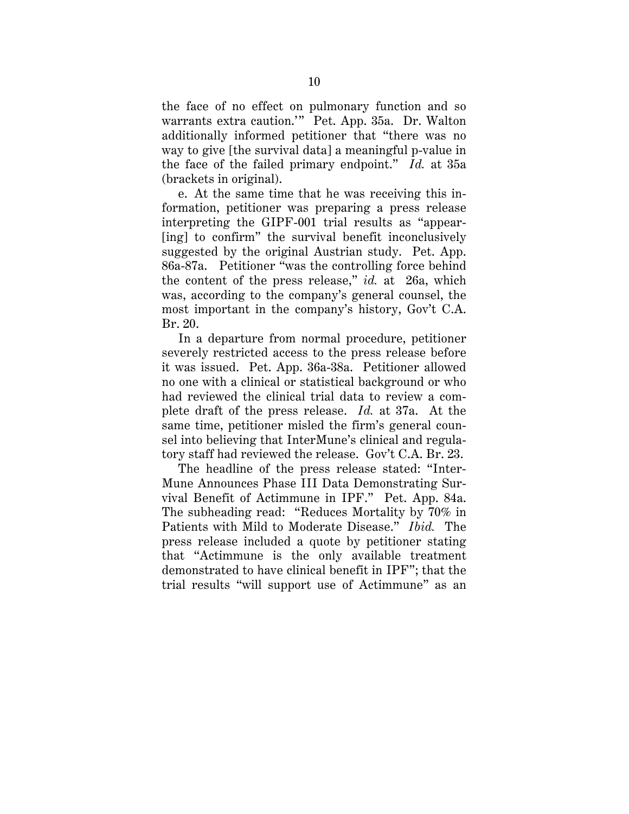the face of the failed primary endpoint." *Id.* at 35a the face of no effect on pulmonary function and so warrants extra caution.'" Pet. App. 35a. Dr. Walton additionally informed petitioner that "there was no way to give [the survival data] a meaningful p-value in (brackets in original).

e. At the same time that he was receiving this information, petitioner was preparing a press release interpreting the GIPF-001 trial results as "appear- [ing] to confirm" the survival benefit inconclusively suggested by the original Austrian study. Pet. App. 86a-87a. Petitioner "was the controlling force behind the content of the press release," *id.* at 26a, which was, according to the company's general counsel, the most important in the company's history, Gov't C.A. Br. 20.

 plete draft of the press release. *Id.* at 37a. At the In a departure from normal procedure, petitioner severely restricted access to the press release before it was issued. Pet. App. 36a-38a. Petitioner allowed no one with a clinical or statistical background or who had reviewed the clinical trial data to review a comsame time, petitioner misled the firm's general counsel into believing that InterMune's clinical and regulatory staff had reviewed the release. Gov't C.A. Br. 23.

The headline of the press release stated: "Inter-Mune Announces Phase III Data Demonstrating Survival Benefit of Actimmune in IPF." Pet. App. 84a. The subheading read: "Reduces Mortality by 70% in Patients with Mild to Moderate Disease." *Ibid.* The press release included a quote by petitioner stating that "Actimmune is the only available treatment demonstrated to have clinical benefit in IPF"; that the trial results "will support use of Actimmune" as an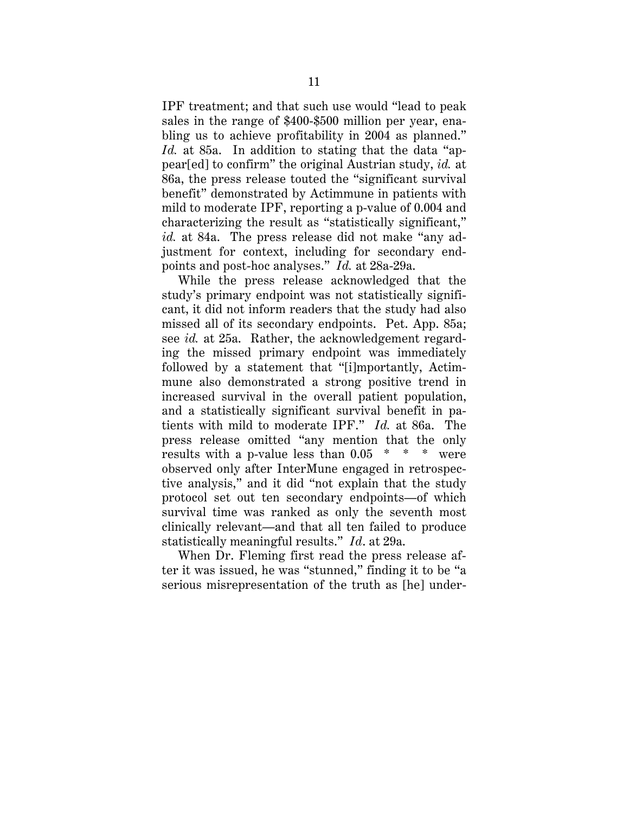IPF treatment; and that such use would "lead to peak sales in the range of \$400-\$500 million per year, enabling us to achieve profitability in 2004 as planned." *Id.* at 85a. In addition to stating that the data "appear[ed] to confirm" the original Austrian study, *id.* at 86a, the press release touted the "significant survival benefit" demonstrated by Actimmune in patients with mild to moderate IPF, reporting a p-value of 0.004 and characterizing the result as "statistically significant," *id.* at 84a. The press release did not make "any adjustment for context, including for secondary endpoints and post-hoc analyses." *Id.* at 28a-29a.

 results with a p-value less than 0.05 \* \* \* were statistically meaningful results." *Id*. at 29a. While the press release acknowledged that the study's primary endpoint was not statistically significant, it did not inform readers that the study had also missed all of its secondary endpoints. Pet. App. 85a; see *id.* at 25a. Rather, the acknowledgement regarding the missed primary endpoint was immediately followed by a statement that "[i]mportantly, Actimmune also demonstrated a strong positive trend in increased survival in the overall patient population, and a statistically significant survival benefit in patients with mild to moderate IPF." *Id.* at 86a. The press release omitted "any mention that the only observed only after InterMune engaged in retrospective analysis," and it did "not explain that the study protocol set out ten secondary endpoints—of which survival time was ranked as only the seventh most clinically relevant—and that all ten failed to produce

When Dr. Fleming first read the press release after it was issued, he was "stunned," finding it to be "a serious misrepresentation of the truth as [he] under-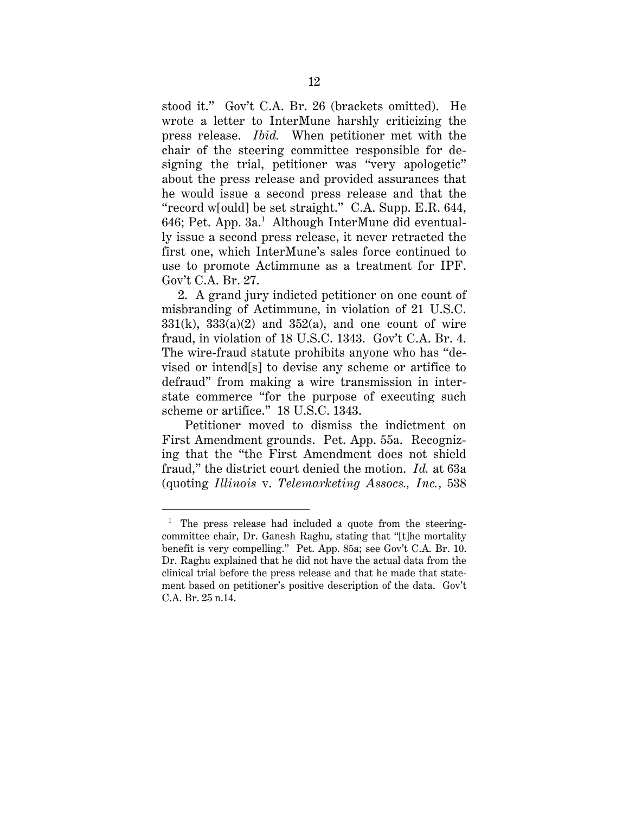<span id="page-15-0"></span> use to promote Actimmune as a treatment for IPF. Gov't C.A. Br. 27. stood it." Gov't C.A. Br. 26 (brackets omitted). He wrote a letter to InterMune harshly criticizing the press release. *Ibid.* When petitioner met with the chair of the steering committee responsible for designing the trial, petitioner was "very apologetic" about the press release and provided assurances that he would issue a second press release and that the "record w[ould] be set straight." C.A. Supp. E.R. 644, 646; Pet. App. 3a.<sup>1</sup> Although InterMune did eventually issue a second press release, it never retracted the first one, which InterMune's sales force continued to

2. A grand jury indicted petitioner on one count of misbranding of Actimmune, in violation of 21 U.S.C.  $331(k)$ ,  $333(a)(2)$  and  $352(a)$ , and one count of wire fraud, in violation of 18 U.S.C. 1343. Gov't C.A. Br. 4. The wire-fraud statute prohibits anyone who has "devised or intend[s] to devise any scheme or artifice to defraud" from making a wire transmission in interstate commerce "for the purpose of executing such scheme or artifice." 18 U.S.C. 1343.

Petitioner moved to dismiss the indictment on First Amendment grounds. Pet. App. 55a. Recognizing that the "the First Amendment does not shield fraud," the district court denied the motion. *Id.* at 63a (quoting *Illinois* v. *Telemarketing Assocs., Inc.*, 538

 $\overline{a}$ 

<sup>&</sup>lt;sup>1</sup> The press release had included a quote from the steering- benefit is very compelling." Pet. App. 85a; see Gov't C.A. Br. 10. Dr. Raghu explained that he did not have the actual data from the ment based on petitioner's positive description of the data. Gov't committee chair, Dr. Ganesh Raghu, stating that "[t]he mortality clinical trial before the press release and that he made that state-C.A. Br. 25 n.14.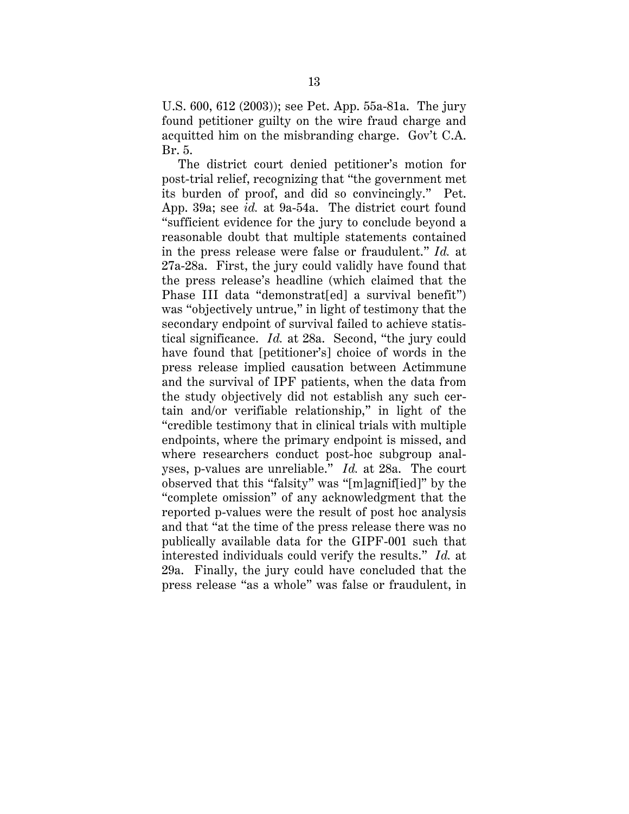Br. 5. U.S. 600, 612 (2003)); see Pet. App. 55a-81a. The jury found petitioner guilty on the wire fraud charge and acquitted him on the misbranding charge. Gov't C.A.

 yses, p-values are unreliable." *Id.* at 28a. The court The district court denied petitioner's motion for post-trial relief, recognizing that "the government met its burden of proof, and did so convincingly." Pet. App. 39a; see *id.* at 9a-54a. The district court found "sufficient evidence for the jury to conclude beyond a reasonable doubt that multiple statements contained in the press release were false or fraudulent." *Id.* at 27a-28a. First, the jury could validly have found that the press release's headline (which claimed that the Phase III data "demonstrat[ed] a survival benefit") was "objectively untrue," in light of testimony that the secondary endpoint of survival failed to achieve statistical significance. *Id.* at 28a. Second, "the jury could have found that [petitioner's] choice of words in the press release implied causation between Actimmune and the survival of IPF patients, when the data from the study objectively did not establish any such certain and/or verifiable relationship," in light of the "credible testimony that in clinical trials with multiple endpoints, where the primary endpoint is missed, and where researchers conduct post-hoc subgroup analobserved that this "falsity" was "[m]agnif[ied]" by the "complete omission" of any acknowledgment that the reported p-values were the result of post hoc analysis and that "at the time of the press release there was no publically available data for the GIPF-001 such that interested individuals could verify the results." *Id.* at 29a. Finally, the jury could have concluded that the press release "as a whole" was false or fraudulent, in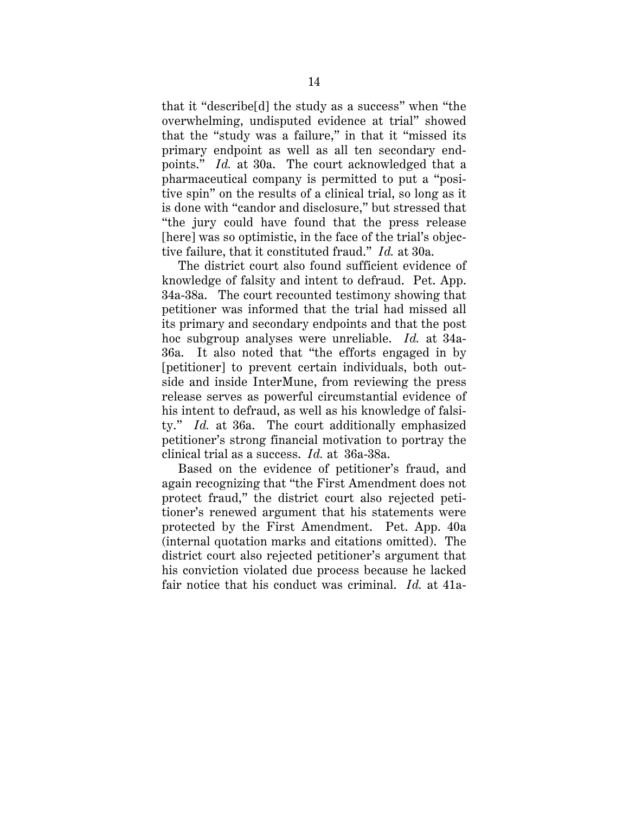points." *Id.* at 30a. The court acknowledged that a that it "describe[d] the study as a success" when "the overwhelming, undisputed evidence at trial" showed that the "study was a failure," in that it "missed its primary endpoint as well as all ten secondary endpharmaceutical company is permitted to put a "positive spin" on the results of a clinical trial, so long as it is done with "candor and disclosure," but stressed that "the jury could have found that the press release [here] was so optimistic, in the face of the trial's objective failure, that it constituted fraud." *Id.* at 30a.

The district court also found sufficient evidence of knowledge of falsity and intent to defraud. Pet. App. 34a-38a. The court recounted testimony showing that petitioner was informed that the trial had missed all its primary and secondary endpoints and that the post hoc subgroup analyses were unreliable. *Id.* at 34a-36a. It also noted that "the efforts engaged in by [petitioner] to prevent certain individuals, both outside and inside InterMune, from reviewing the press release serves as powerful circumstantial evidence of his intent to defraud, as well as his knowledge of falsity." *Id.* at 36a. The court additionally emphasized petitioner's strong financial motivation to portray the clinical trial as a success. *Id.* at 36a-38a.

Based on the evidence of petitioner's fraud, and again recognizing that "the First Amendment does not protect fraud," the district court also rejected petitioner's renewed argument that his statements were protected by the First Amendment. Pet. App. 40a (internal quotation marks and citations omitted). The district court also rejected petitioner's argument that his conviction violated due process because he lacked fair notice that his conduct was criminal. *Id.* at 41a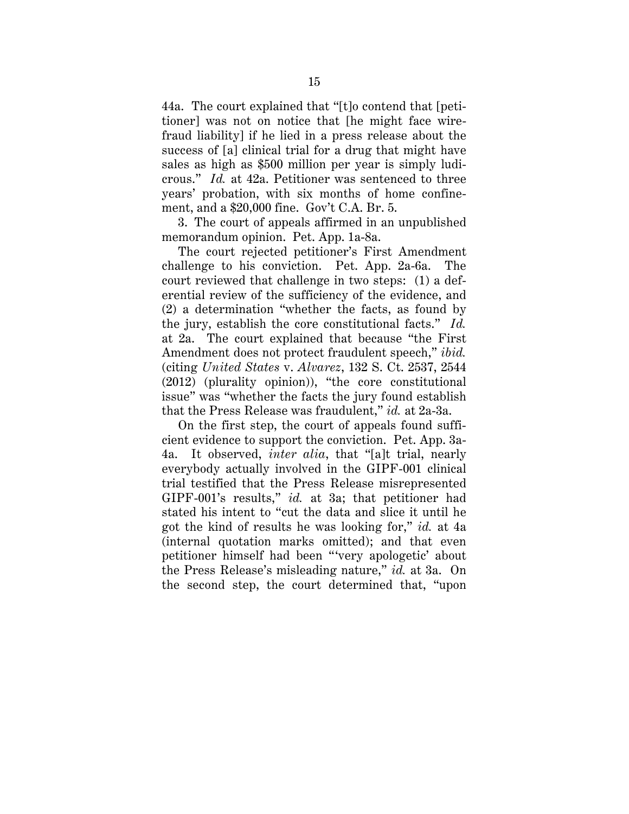44a. The court explained that "[t]o contend that [petitioner] was not on notice that [he might face wirefraud liability] if he lied in a press release about the success of [a] clinical trial for a drug that might have sales as high as \$500 million per year is simply ludicrous." *Id.* at 42a. Petitioner was sentenced to three years' probation, with six months of home confinement, and a \$20,000 fine. Gov't C.A. Br. 5.

3. The court of appeals affirmed in an unpublished memorandum opinion. Pet. App. 1a-8a.

 the jury, establish the core constitutional facts." *Id.*  The court rejected petitioner's First Amendment challenge to his conviction. Pet. App. 2a-6a. The court reviewed that challenge in two steps: (1) a deferential review of the sufficiency of the evidence, and (2) a determination "whether the facts, as found by at 2a. The court explained that because "the First Amendment does not protect fraudulent speech," *ibid.*  (citing *United States* v. *Alvarez*, 132 S. Ct. 2537, 2544 (2012) (plurality opinion)), "the core constitutional issue" was "whether the facts the jury found establish that the Press Release was fraudulent," *id.* at 2a-3a.

On the first step, the court of appeals found sufficient evidence to support the conviction. Pet. App. 3a-4a. It observed, *inter alia*, that "[a]t trial, nearly everybody actually involved in the GIPF-001 clinical trial testified that the Press Release misrepresented GIPF-001's results," *id.* at 3a; that petitioner had stated his intent to "cut the data and slice it until he got the kind of results he was looking for," *id.* at 4a (internal quotation marks omitted); and that even petitioner himself had been "'very apologetic' about the Press Release's misleading nature," *id.* at 3a. On the second step, the court determined that, "upon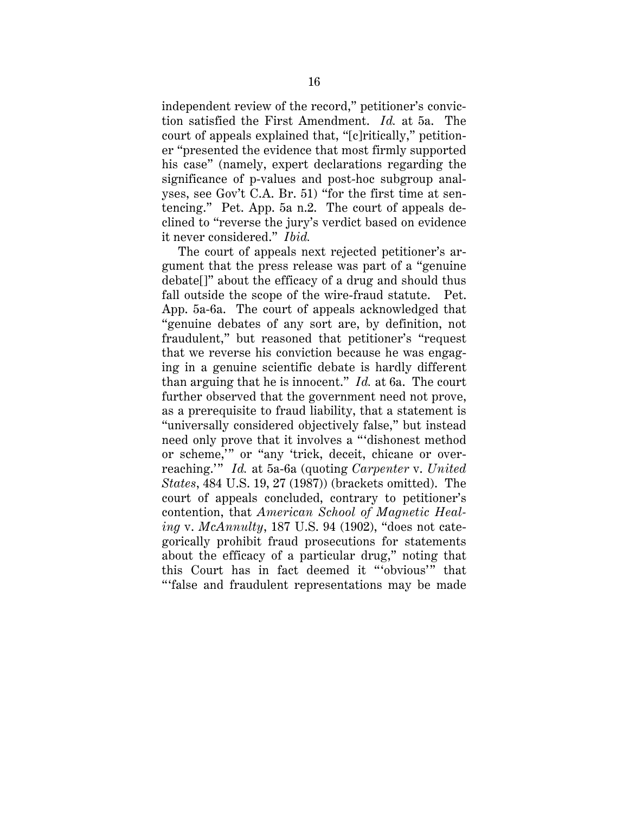<span id="page-19-0"></span> it never considered." *Ibid.* independent review of the record," petitioner's conviction satisfied the First Amendment. *Id.* at 5a. The court of appeals explained that, "[c]ritically," petitioner "presented the evidence that most firmly supported his case" (namely, expert declarations regarding the significance of p-values and post-hoc subgroup analyses, see Gov't C.A. Br. 51) "for the first time at sentencing." Pet. App. 5a n.2. The court of appeals declined to "reverse the jury's verdict based on evidence

The court of appeals next rejected petitioner's argument that the press release was part of a "genuine debate[]" about the efficacy of a drug and should thus fall outside the scope of the wire-fraud statute. Pet. App. 5a-6a. The court of appeals acknowledged that "genuine debates of any sort are, by definition, not fraudulent," but reasoned that petitioner's "request that we reverse his conviction because he was engaging in a genuine scientific debate is hardly different than arguing that he is innocent." *Id.* at 6a. The court further observed that the government need not prove, as a prerequisite to fraud liability, that a statement is "universally considered objectively false," but instead need only prove that it involves a "'dishonest method or scheme,'" or "any 'trick, deceit, chicane or overreaching.'" *Id.* at 5a-6a (quoting *Carpenter* v. *United States*, 484 U.S. 19, 27 (1987)) (brackets omitted). The court of appeals concluded, contrary to petitioner's contention, that *American School of Magnetic Healing* v. *McAnnulty*, 187 U.S. 94 (1902), "does not categorically prohibit fraud prosecutions for statements about the efficacy of a particular drug," noting that this Court has in fact deemed it "'obvious'" that "'false and fraudulent representations may be made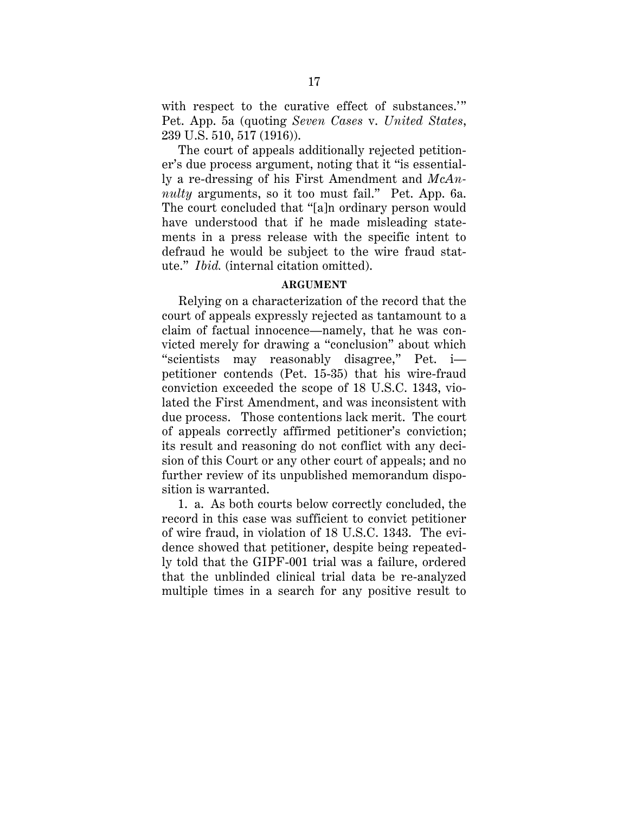<span id="page-20-0"></span>with respect to the curative effect of substances.'" Pet. App. 5a (quoting *Seven Cases* v. *United States*, 239 U.S. 510, 517 (1916)).

The court of appeals additionally rejected petitioner's due process argument, noting that it "is essentially a re-dressing of his First Amendment and *McAnnulty* arguments, so it too must fail." Pet. App. 6a. The court concluded that "[a]n ordinary person would have understood that if he made misleading statements in a press release with the specific intent to defraud he would be subject to the wire fraud statute." *Ibid.* (internal citation omitted).

### **ARGUMENT**

Relying on a characterization of the record that the court of appeals expressly rejected as tantamount to a claim of factual innocence—namely, that he was convicted merely for drawing a "conclusion" about which "scientists may reasonably disagree," Pet. i petitioner contends (Pet. 15-35) that his wire-fraud conviction exceeded the scope of 18 U.S.C. 1343, violated the First Amendment, and was inconsistent with due process. Those contentions lack merit. The court of appeals correctly affirmed petitioner's conviction; its result and reasoning do not conflict with any decision of this Court or any other court of appeals; and no further review of its unpublished memorandum disposition is warranted.

1. a. As both courts below correctly concluded, the record in this case was sufficient to convict petitioner of wire fraud, in violation of 18 U.S.C. 1343. The evidence showed that petitioner, despite being repeatedly told that the GIPF-001 trial was a failure, ordered that the unblinded clinical trial data be re-analyzed multiple times in a search for any positive result to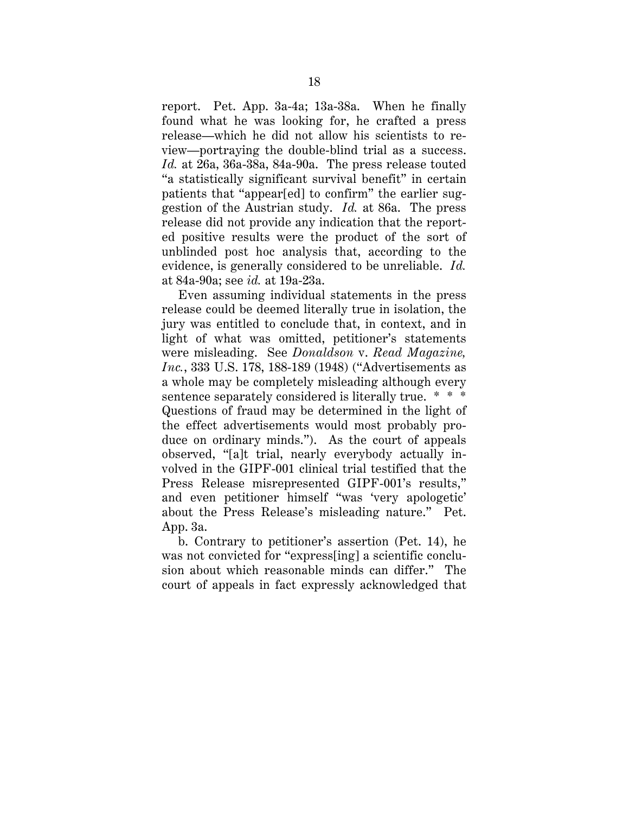<span id="page-21-0"></span>report. Pet. App. 3a-4a; 13a-38a. When he finally found what he was looking for, he crafted a press release—which he did not allow his scientists to review—portraying the double-blind trial as a success. *Id.* at 26a, 36a-38a, 84a-90a. The press release touted "a statistically significant survival benefit" in certain patients that "appear[ed] to confirm" the earlier suggestion of the Austrian study. *Id.* at 86a. The press release did not provide any indication that the reported positive results were the product of the sort of unblinded post hoc analysis that, according to the evidence, is generally considered to be unreliable. *Id.*  at 84a-90a; see *id.* at 19a-23a.

Even assuming individual statements in the press release could be deemed literally true in isolation, the jury was entitled to conclude that, in context, and in light of what was omitted, petitioner's statements were misleading. See *Donaldson* v. *Read Magazine, Inc.*, 333 U.S. 178, 188-189 (1948) ("Advertisements as a whole may be completely misleading although every sentence separately considered is literally true. \* \* \* Questions of fraud may be determined in the light of the effect advertisements would most probably produce on ordinary minds."). As the court of appeals observed, "[a]t trial, nearly everybody actually involved in the GIPF-001 clinical trial testified that the Press Release misrepresented GIPF-001's results," and even petitioner himself "was 'very apologetic' about the Press Release's misleading nature." Pet. App. 3a.

b. Contrary to petitioner's assertion (Pet. 14), he was not convicted for "express[ing] a scientific conclusion about which reasonable minds can differ." The court of appeals in fact expressly acknowledged that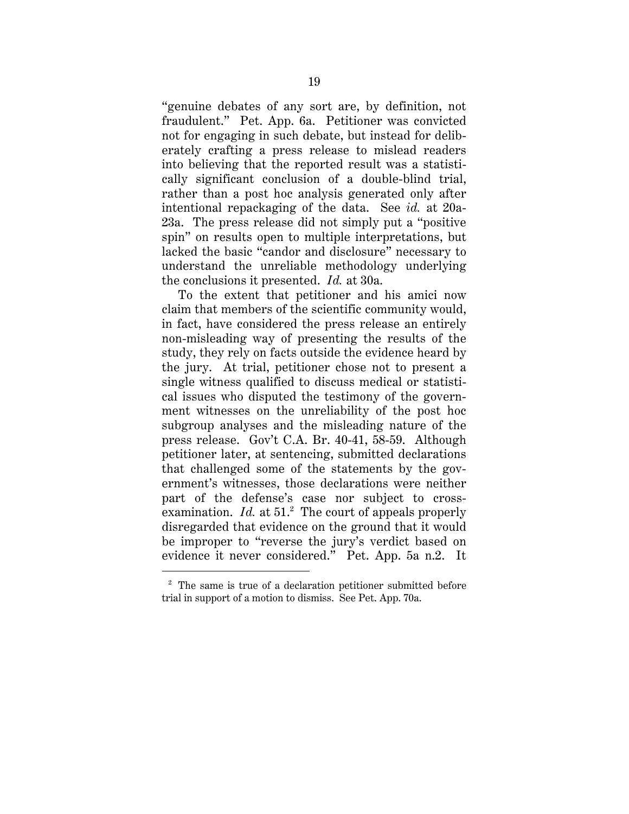"genuine debates of any sort are, by definition, not fraudulent." Pet. App. 6a. Petitioner was convicted not for engaging in such debate, but instead for deliberately crafting a press release to mislead readers into believing that the reported result was a statistically significant conclusion of a double-blind trial, rather than a post hoc analysis generated only after intentional repackaging of the data. See *id.* at 20a-23a. The press release did not simply put a "positive spin" on results open to multiple interpretations, but lacked the basic "candor and disclosure" necessary to understand the unreliable methodology underlying the conclusions it presented. *Id.* at 30a.

To the extent that petitioner and his amici now claim that members of the scientific community would, in fact, have considered the press release an entirely non-misleading way of presenting the results of the study, they rely on facts outside the evidence heard by the jury. At trial, petitioner chose not to present a single witness qualified to discuss medical or statistical issues who disputed the testimony of the government witnesses on the unreliability of the post hoc subgroup analyses and the misleading nature of the press release. Gov't C.A. Br. 40-41, 58-59. Although petitioner later, at sentencing, submitted declarations that challenged some of the statements by the government's witnesses, those declarations were neither part of the defense's case nor subject to crossexamination. *Id.* at 51.<sup>2</sup> The court of appeals properly disregarded that evidence on the ground that it would be improper to "reverse the jury's verdict based on evidence it never considered." Pet. App. 5a n.2. It

 $\overline{a}$ 

 trial in support of a motion to dismiss. See Pet. App. 70a. <sup>2</sup> The same is true of a declaration petitioner submitted before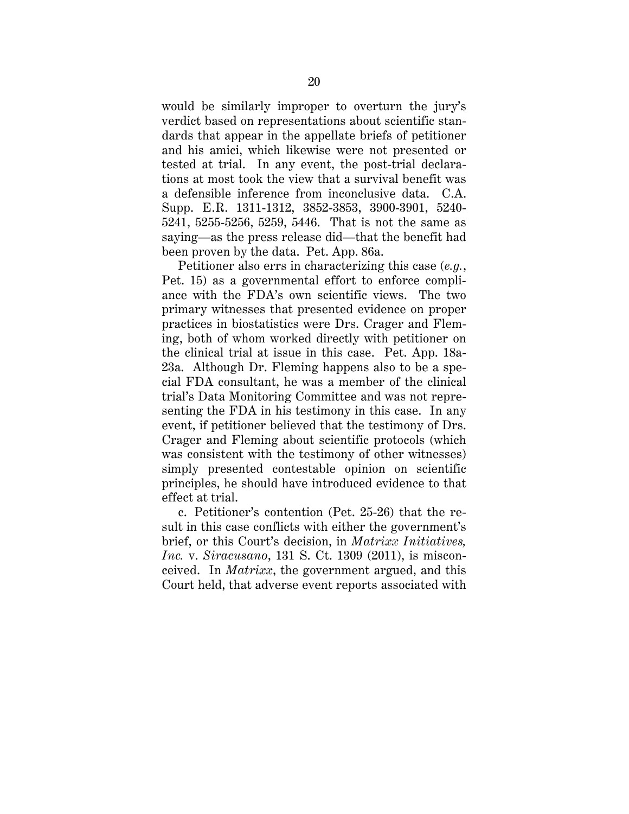would be similarly improper to overturn the jury's verdict based on representations about scientific standards that appear in the appellate briefs of petitioner and his amici, which likewise were not presented or tested at trial. In any event, the post-trial declarations at most took the view that a survival benefit was a defensible inference from inconclusive data. C.A. Supp. E.R. 1311-1312, 3852-3853, 3900-3901, 5240- 5241, 5255-5256, 5259, 5446. That is not the same as saying—as the press release did—that the benefit had been proven by the data. Pet. App. 86a.

Petitioner also errs in characterizing this case (*e.g.*, Pet. 15) as a governmental effort to enforce compliance with the FDA's own scientific views. The two primary witnesses that presented evidence on proper practices in biostatistics were Drs. Crager and Fleming, both of whom worked directly with petitioner on the clinical trial at issue in this case. Pet. App. 18a-23a. Although Dr. Fleming happens also to be a special FDA consultant, he was a member of the clinical trial's Data Monitoring Committee and was not representing the FDA in his testimony in this case. In any event, if petitioner believed that the testimony of Drs. Crager and Fleming about scientific protocols (which was consistent with the testimony of other witnesses) simply presented contestable opinion on scientific principles, he should have introduced evidence to that effect at trial.

c. Petitioner's contention (Pet. 25-26) that the result in this case conflicts with either the government's brief, or this Court's decision, in *Matrixx Initiatives, Inc.* v. *Siracusano*, 131 S. Ct. 1309 (2011), is misconceived. In *Matrixx*, the government argued, and this Court held, that adverse event reports associated with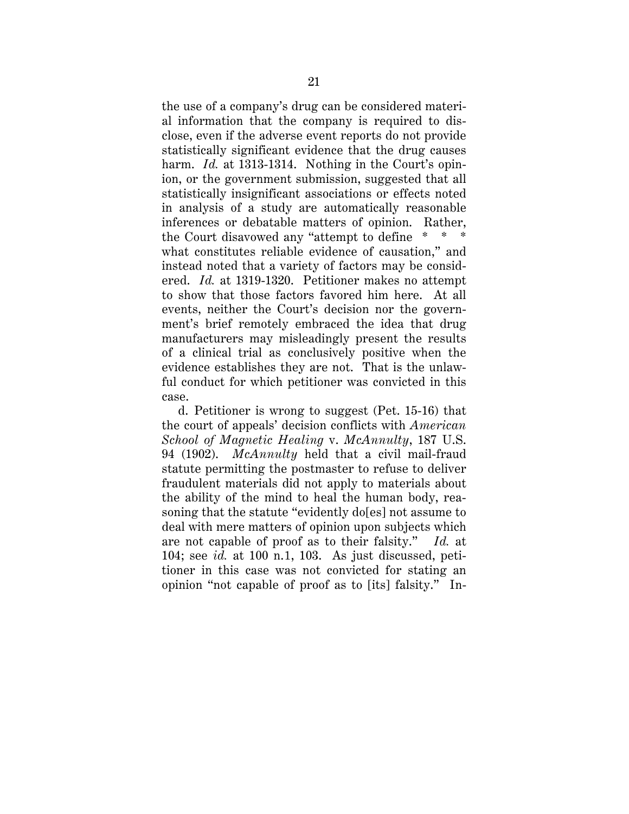<span id="page-24-0"></span>the use of a company's drug can be considered material information that the company is required to disclose, even if the adverse event reports do not provide statistically significant evidence that the drug causes harm. *Id.* at 1313-1314. Nothing in the Court's opinion, or the government submission, suggested that all statistically insignificant associations or effects noted in analysis of a study are automatically reasonable inferences or debatable matters of opinion. Rather, the Court disavowed any "attempt to define  $*$ what constitutes reliable evidence of causation," and instead noted that a variety of factors may be considered. *Id.* at 1319-1320. Petitioner makes no attempt to show that those factors favored him here. At all events, neither the Court's decision nor the government's brief remotely embraced the idea that drug manufacturers may misleadingly present the results of a clinical trial as conclusively positive when the evidence establishes they are not. That is the unlawful conduct for which petitioner was convicted in this case.

 94 (1902). *McAnnulty* held that a civil mail-fraud are not capable of proof as to their falsity." *Id.* at d. Petitioner is wrong to suggest (Pet. 15-16) that the court of appeals' decision conflicts with *American School of Magnetic Healing* v. *McAnnulty*, 187 U.S. statute permitting the postmaster to refuse to deliver fraudulent materials did not apply to materials about the ability of the mind to heal the human body, reasoning that the statute "evidently do[es] not assume to deal with mere matters of opinion upon subjects which 104; see *id.* at 100 n.1, 103. As just discussed, petitioner in this case was not convicted for stating an opinion "not capable of proof as to [its] falsity." In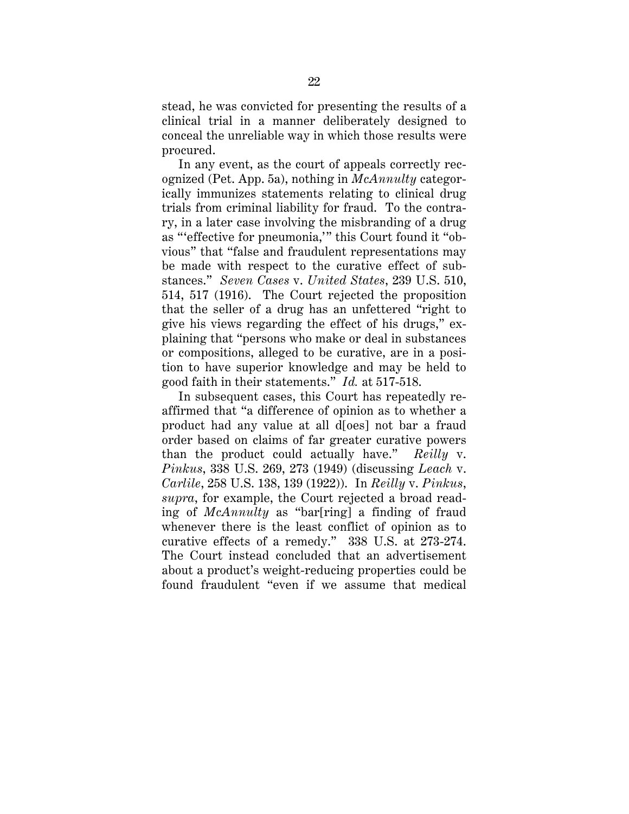<span id="page-25-0"></span>stead, he was convicted for presenting the results of a clinical trial in a manner deliberately designed to conceal the unreliable way in which those results were procured.

 good faith in their statements." *Id.* at 517-518. In any event, as the court of appeals correctly recognized (Pet. App. 5a), nothing in *McAnnulty* categorically immunizes statements relating to clinical drug trials from criminal liability for fraud. To the contrary, in a later case involving the misbranding of a drug as "'effective for pneumonia,'" this Court found it "obvious" that "false and fraudulent representations may be made with respect to the curative effect of substances." *Seven Cases* v. *United States*, 239 U.S. 510, 514, 517 (1916). The Court rejected the proposition that the seller of a drug has an unfettered "right to give his views regarding the effect of his drugs," explaining that "persons who make or deal in substances or compositions, alleged to be curative, are in a position to have superior knowledge and may be held to

 than the product could actually have." *Reilly* v. In subsequent cases, this Court has repeatedly reaffirmed that "a difference of opinion as to whether a product had any value at all d[oes] not bar a fraud order based on claims of far greater curative powers *Pinkus*, 338 U.S. 269, 273 (1949) (discussing *Leach* v. *Carlile*, 258 U.S. 138, 139 (1922)). In *Reilly* v. *Pinkus*, *supra*, for example, the Court rejected a broad reading of *McAnnulty* as "bar[ring] a finding of fraud whenever there is the least conflict of opinion as to curative effects of a remedy." 338 U.S. at 273-274. The Court instead concluded that an advertisement about a product's weight-reducing properties could be found fraudulent "even if we assume that medical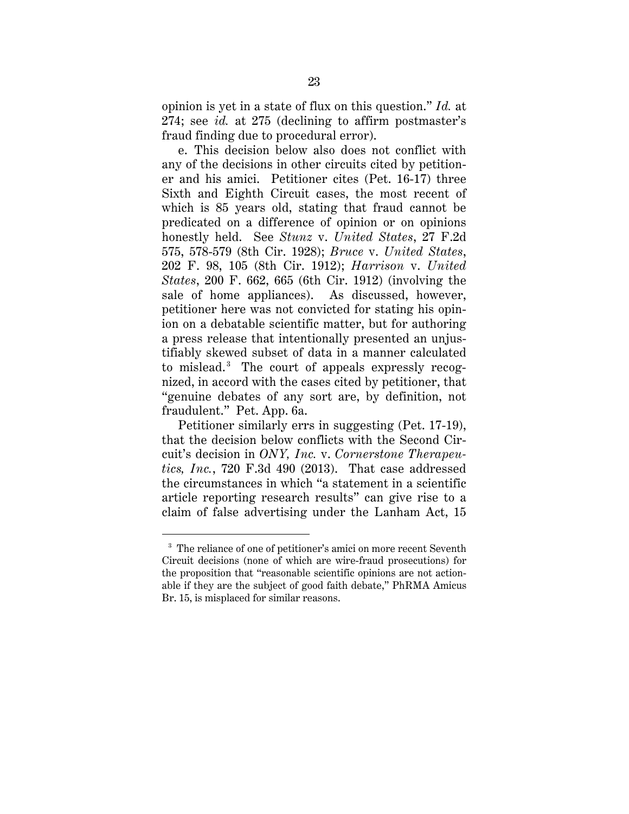<span id="page-26-0"></span>opinion is yet in a state of flux on this question." *Id.* at 274; see *id.* at 275 (declining to affirm postmaster's fraud finding due to procedural error).

e. This decision below also does not conflict with any of the decisions in other circuits cited by petitioner and his amici. Petitioner cites (Pet. 16-17) three Sixth and Eighth Circuit cases, the most recent of which is 85 years old, stating that fraud cannot be predicated on a difference of opinion or on opinions honestly held. See *Stunz* v. *United States*, 27 F.2d 575, 578-579 (8th Cir. 1928); *Bruce* v. *United States*, 202 F. 98, 105 (8th Cir. 1912); *Harrison* v. *United States*, 200 F. 662, 665 (6th Cir. 1912) (involving the sale of home appliances). As discussed, however, petitioner here was not convicted for stating his opinion on a debatable scientific matter, but for authoring a press release that intentionally presented an unjustifiably skewed subset of data in a manner calculated to mislead.<sup>3</sup> The court of appeals expressly recognized, in accord with the cases cited by petitioner, that "genuine debates of any sort are, by definition, not fraudulent." Pet. App. 6a.

Petitioner similarly errs in suggesting (Pet. 17-19), that the decision below conflicts with the Second Circuit's decision in *ONY, Inc.* v. *Cornerstone Therapeutics, Inc.*, 720 F.3d 490 (2013). That case addressed the circumstances in which "a statement in a scientific article reporting research results" can give rise to a claim of false advertising under the Lanham Act, 15

 $\overline{a}$ 

 the proposition that "reasonable scientific opinions are not action-<sup>3</sup> The reliance of one of petitioner's amici on more recent Seventh Circuit decisions (none of which are wire-fraud prosecutions) for able if they are the subject of good faith debate," PhRMA Amicus Br. 15, is misplaced for similar reasons.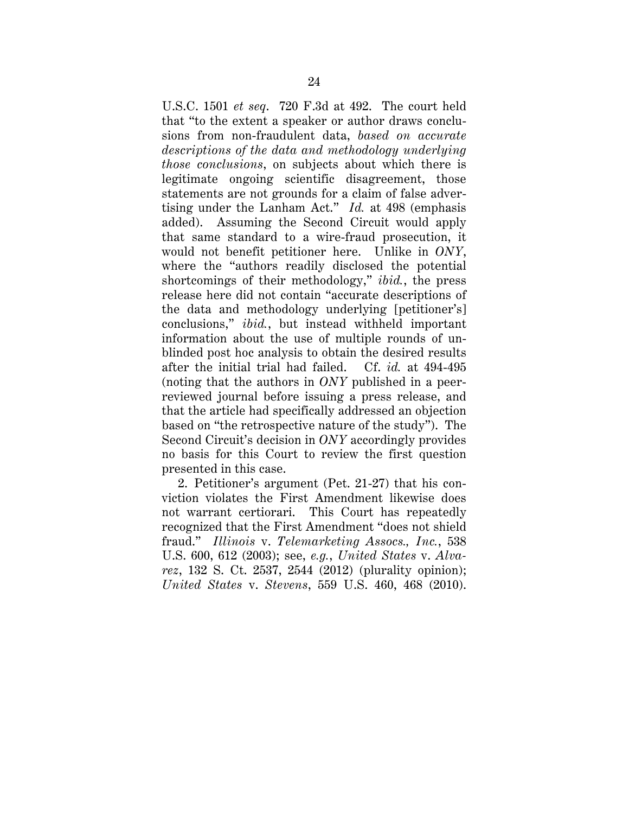<span id="page-27-0"></span> tising under the Lanham Act." *Id.* at 498 (emphasis U.S.C. 1501 *et seq*. 720 F.3d at 492. The court held that "to the extent a speaker or author draws conclusions from non-fraudulent data, *based on accurate descriptions of the data and methodology underlying those conclusions*, on subjects about which there is legitimate ongoing scientific disagreement, those statements are not grounds for a claim of false adveradded). Assuming the Second Circuit would apply that same standard to a wire-fraud prosecution, it would not benefit petitioner here. Unlike in *ONY*, where the "authors readily disclosed the potential shortcomings of their methodology," *ibid.*, the press release here did not contain "accurate descriptions of the data and methodology underlying [petitioner's] conclusions," *ibid.*, but instead withheld important information about the use of multiple rounds of unblinded post hoc analysis to obtain the desired results after the initial trial had failed. Cf. *id.* at 494-495 (noting that the authors in *ONY* published in a peerreviewed journal before issuing a press release, and that the article had specifically addressed an objection based on "the retrospective nature of the study"). The Second Circuit's decision in *ONY* accordingly provides no basis for this Court to review the first question presented in this case.

 fraud." *Illinois* v. *Telemarketing Assocs., Inc.*, 538 *United States* v. *Stevens*, 559 U.S. 460, 468 (2010). 2. Petitioner's argument (Pet. 21-27) that his conviction violates the First Amendment likewise does not warrant certiorari. This Court has repeatedly recognized that the First Amendment "does not shield U.S. 600, 612 (2003); see, *e.g.*, *United States* v. *Alvarez*, 132 S. Ct. 2537, 2544 (2012) (plurality opinion);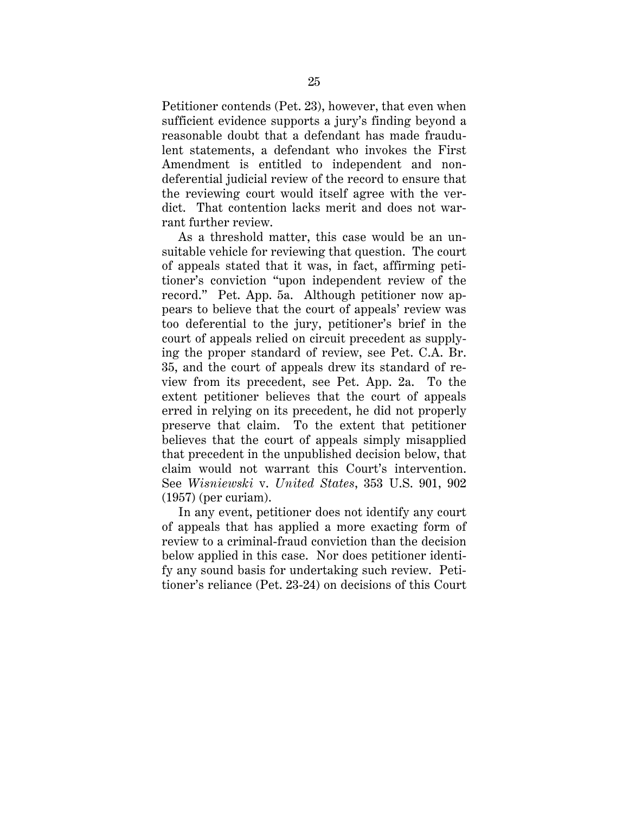<span id="page-28-0"></span>Petitioner contends (Pet. 23), however, that even when sufficient evidence supports a jury's finding beyond a reasonable doubt that a defendant has made fraudulent statements, a defendant who invokes the First Amendment is entitled to independent and nondeferential judicial review of the record to ensure that the reviewing court would itself agree with the verdict. That contention lacks merit and does not warrant further review.

claim would not warrant this Court's intervention. As a threshold matter, this case would be an unsuitable vehicle for reviewing that question. The court of appeals stated that it was, in fact, affirming petitioner's conviction "upon independent review of the record." Pet. App. 5a. Although petitioner now appears to believe that the court of appeals' review was too deferential to the jury, petitioner's brief in the court of appeals relied on circuit precedent as supplying the proper standard of review, see Pet. C.A. Br. 35, and the court of appeals drew its standard of review from its precedent, see Pet. App. 2a. To the extent petitioner believes that the court of appeals erred in relying on its precedent, he did not properly preserve that claim. To the extent that petitioner believes that the court of appeals simply misapplied that precedent in the unpublished decision below, that claim would not warrant this Court's intervention. See *Wisniewski* v. *United States*, 353 U.S. 901, 902 (1957) (per curiam).

In any event, petitioner does not identify any court of appeals that has applied a more exacting form of review to a criminal-fraud conviction than the decision below applied in this case. Nor does petitioner identify any sound basis for undertaking such review. Petitioner's reliance (Pet. 23-24) on decisions of this Court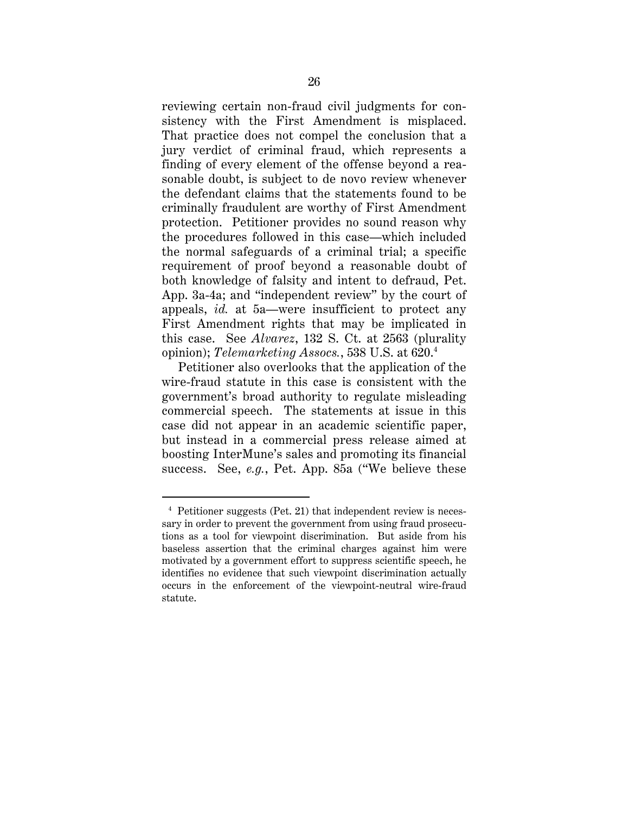<span id="page-29-0"></span> opinion); *Telemarketing Assocs.*, 538 U.S. at 620.4 reviewing certain non-fraud civil judgments for consistency with the First Amendment is misplaced. That practice does not compel the conclusion that a jury verdict of criminal fraud, which represents a finding of every element of the offense beyond a reasonable doubt, is subject to de novo review whenever the defendant claims that the statements found to be criminally fraudulent are worthy of First Amendment protection. Petitioner provides no sound reason why the procedures followed in this case—which included the normal safeguards of a criminal trial; a specific requirement of proof beyond a reasonable doubt of both knowledge of falsity and intent to defraud, Pet. App. 3a-4a; and "independent review" by the court of appeals, *id.* at 5a—were insufficient to protect any First Amendment rights that may be implicated in this case. See *Alvarez*, 132 S. Ct. at 2563 (plurality

Petitioner also overlooks that the application of the wire-fraud statute in this case is consistent with the government's broad authority to regulate misleading commercial speech. The statements at issue in this case did not appear in an academic scientific paper, but instead in a commercial press release aimed at boosting InterMune's sales and promoting its financial success. See, *e.g.*, Pet. App. 85a ("We believe these

 $\overline{a}$ 

 tions as a tool for viewpoint discrimination. But aside from his 4 Petitioner suggests (Pet. 21) that independent review is necessary in order to prevent the government from using fraud prosecubaseless assertion that the criminal charges against him were motivated by a government effort to suppress scientific speech, he identifies no evidence that such viewpoint discrimination actually occurs in the enforcement of the viewpoint-neutral wire-fraud statute.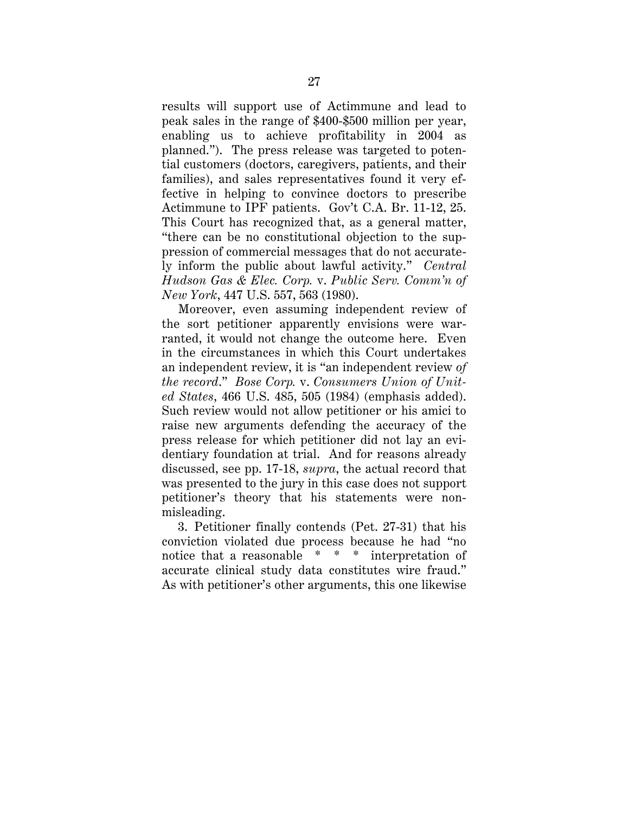<span id="page-30-0"></span>results will support use of Actimmune and lead to peak sales in the range of \$400-\$500 million per year, enabling us to achieve profitability in 2004 as planned."). The press release was targeted to potential customers (doctors, caregivers, patients, and their families), and sales representatives found it very effective in helping to convince doctors to prescribe Actimmune to IPF patients. Gov't C.A. Br. 11-12, 25. This Court has recognized that, as a general matter, "there can be no constitutional objection to the suppression of commercial messages that do not accurately inform the public about lawful activity." *Central Hudson Gas & Elec. Corp.* v. *Public Serv. Comm'n of New York*, 447 U.S. 557, 563 (1980).

Moreover, even assuming independent review of the sort petitioner apparently envisions were warranted, it would not change the outcome here. Even in the circumstances in which this Court undertakes an independent review, it is "an independent review *of the record*." *Bose Corp.* v. *Consumers Union of United States*, 466 U.S. 485, 505 (1984) (emphasis added). Such review would not allow petitioner or his amici to raise new arguments defending the accuracy of the press release for which petitioner did not lay an evidentiary foundation at trial. And for reasons already discussed, see pp. 17-18, *supra*, the actual record that was presented to the jury in this case does not support petitioner's theory that his statements were nonmisleading.

 3. Petitioner finally contends (Pet. 27-31) that his accurate clinical study data constitutes wire fraud." conviction violated due process because he had "no notice that a reasonable \* \* \* interpretation of As with petitioner's other arguments, this one likewise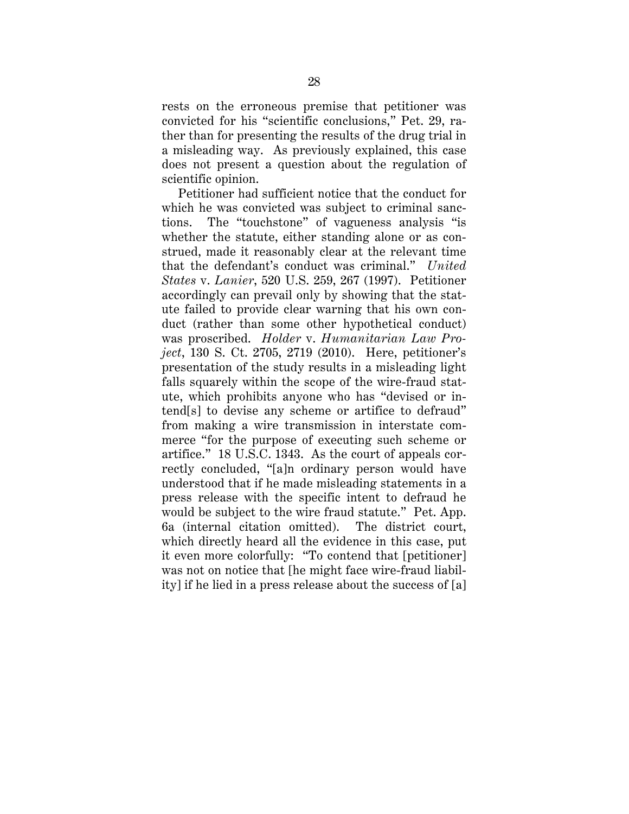<span id="page-31-0"></span>rests on the erroneous premise that petitioner was convicted for his "scientific conclusions," Pet. 29, rather than for presenting the results of the drug trial in a misleading way. As previously explained, this case does not present a question about the regulation of scientific opinion. Petitioner had sufficient notice that the conduct for

which he was convicted was subject to criminal sanctions. The "touchstone" of vagueness analysis "is whether the statute, either standing alone or as construed, made it reasonably clear at the relevant time that the defendant's conduct was criminal." *United States* v. *Lanier*, 520 U.S. 259, 267 (1997). Petitioner accordingly can prevail only by showing that the statute failed to provide clear warning that his own conduct (rather than some other hypothetical conduct) was proscribed. *Holder* v. *Humanitarian Law Project*, 130 S. Ct. 2705, 2719 (2010). Here, petitioner's presentation of the study results in a misleading light falls squarely within the scope of the wire-fraud statute, which prohibits anyone who has "devised or intend[s] to devise any scheme or artifice to defraud" from making a wire transmission in interstate commerce "for the purpose of executing such scheme or artifice." 18 U.S.C. 1343. As the court of appeals correctly concluded, "[a]n ordinary person would have understood that if he made misleading statements in a press release with the specific intent to defraud he would be subject to the wire fraud statute." Pet. App. 6a (internal citation omitted). The district court, which directly heard all the evidence in this case, put it even more colorfully: "To contend that [petitioner] was not on notice that [he might face wire-fraud liability] if he lied in a press release about the success of [a]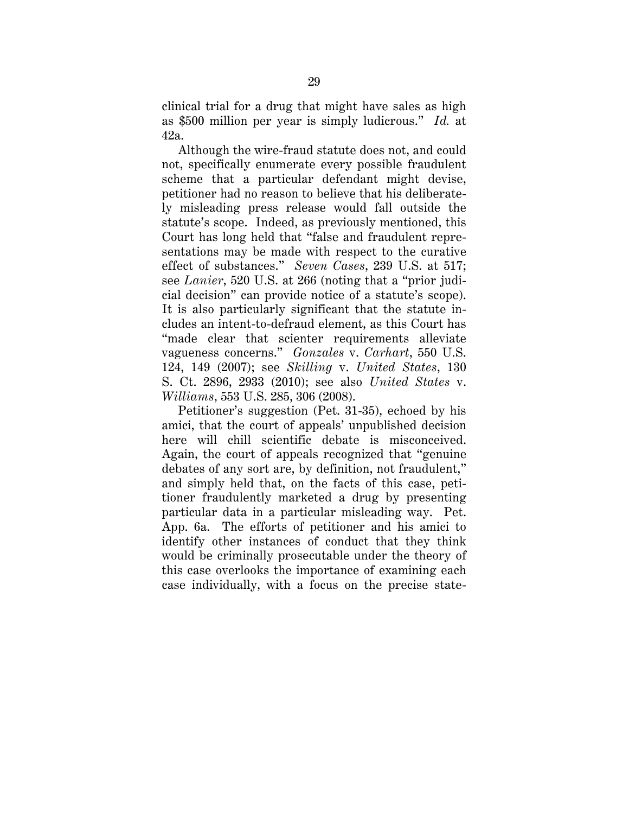<span id="page-32-0"></span>clinical trial for a drug that might have sales as high as \$500 million per year is simply ludicrous." *Id.* at 42a.

 cial decision" can provide notice of a statute's scope). vagueness concerns." *Gonzales* v. *Carhart*, 550 U.S. Although the wire-fraud statute does not, and could not, specifically enumerate every possible fraudulent scheme that a particular defendant might devise, petitioner had no reason to believe that his deliberately misleading press release would fall outside the statute's scope. Indeed, as previously mentioned, this Court has long held that "false and fraudulent representations may be made with respect to the curative effect of substances." *Seven Cases*, 239 U.S. at 517; see *Lanier*, 520 U.S. at 266 (noting that a "prior judi-It is also particularly significant that the statute includes an intent-to-defraud element, as this Court has "made clear that scienter requirements alleviate 124, 149 (2007); see *Skilling* v. *United States*, 130 S. Ct. 2896, 2933 (2010); see also *United States* v. *Williams*, 553 U.S. 285, 306 (2008).

Petitioner's suggestion (Pet. 31-35), echoed by his amici, that the court of appeals' unpublished decision here will chill scientific debate is misconceived. Again, the court of appeals recognized that "genuine debates of any sort are, by definition, not fraudulent," and simply held that, on the facts of this case, petitioner fraudulently marketed a drug by presenting particular data in a particular misleading way. Pet. App. 6a. The efforts of petitioner and his amici to identify other instances of conduct that they think would be criminally prosecutable under the theory of this case overlooks the importance of examining each case individually, with a focus on the precise state